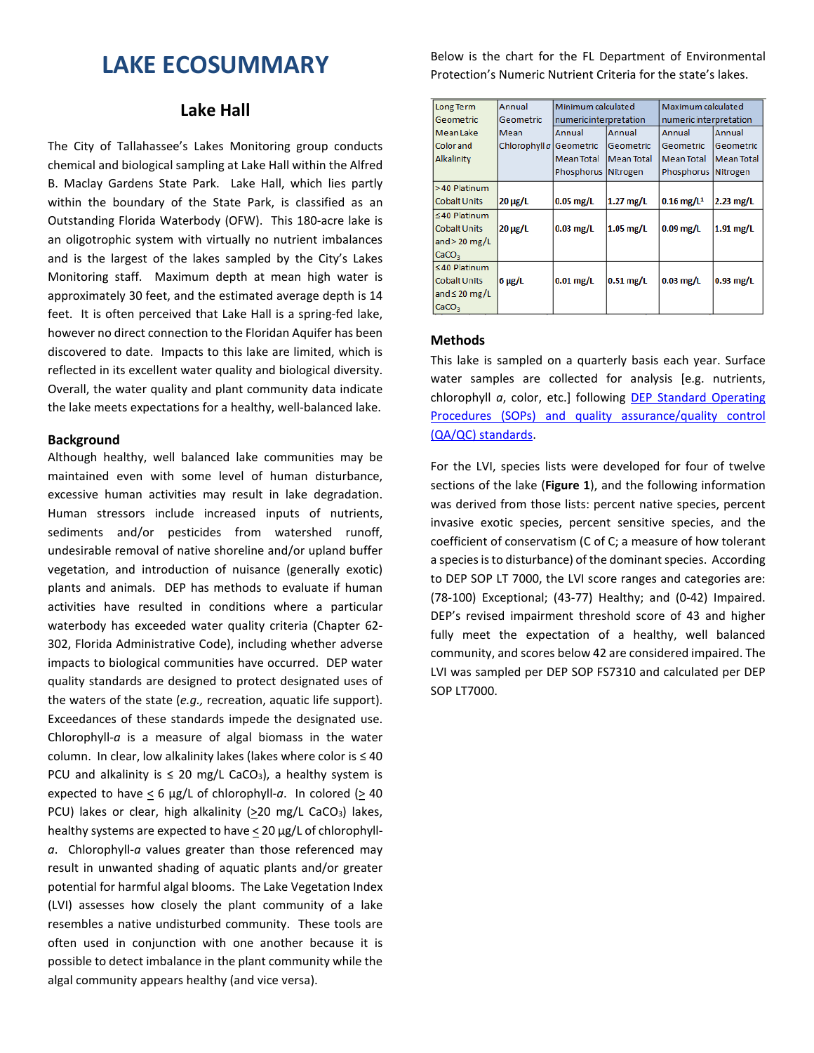# **LAKE ECOSUMMARY**

# **Lake Hall**

The City of Tallahassee's Lakes Monitoring group conducts chemical and biological sampling at Lake Hall within the Alfred B. Maclay Gardens State Park. Lake Hall, which lies partly within the boundary of the State Park, is classified as an Outstanding Florida Waterbody (OFW). This 180-acre lake is an oligotrophic system with virtually no nutrient imbalances and is the largest of the lakes sampled by the City's Lakes Monitoring staff. Maximum depth at mean high water is approximately 30 feet, and the estimated average depth is 14 feet. It is often perceived that Lake Hall is a spring-fed lake, however no direct connection to the Floridan Aquifer has been discovered to date. Impacts to this lake are limited, which is reflected in its excellent water quality and biological diversity. Overall, the water quality and plant community data indicate the lake meets expectations for a healthy, well-balanced lake.

## **Background**

Although healthy, well balanced lake communities may be maintained even with some level of human disturbance, excessive human activities may result in lake degradation. Human stressors include increased inputs of nutrients, sediments and/or pesticides from watershed runoff, undesirable removal of native shoreline and/or upland buffer vegetation, and introduction of nuisance (generally exotic) plants and animals. DEP has methods to evaluate if human activities have resulted in conditions where a particular waterbody has exceeded water quality criteria (Chapter 62- 302, Florida Administrative Code), including whether adverse impacts to biological communities have occurred. DEP water quality standards are designed to protect designated uses of the waters of the state (*e.g.,* recreation, aquatic life support). Exceedances of these standards impede the designated use. Chlorophyll-*a* is a measure of algal biomass in the water column. In clear, low alkalinity lakes (lakes where color is ≤ 40 PCU and alkalinity is  $\leq 20$  mg/L CaCO<sub>3</sub>), a healthy system is expected to have  $\leq 6$  µg/L of chlorophyll-a. In colored ( $\geq 40$ ) PCU) lakes or clear, high alkalinity ( $\geq$ 20 mg/L CaCO<sub>3</sub>) lakes, healthy systems are expected to have < 20 µg/L of chlorophyll*a*. Chlorophyll-*a* values greater than those referenced may result in unwanted shading of aquatic plants and/or greater potential for harmful algal blooms. The Lake Vegetation Index (LVI) assesses how closely the plant community of a lake resembles a native undisturbed community. These tools are often used in conjunction with one another because it is possible to detect imbalance in the plant community while the algal community appears healthy (and vice versa).

Below is the chart for the FL Department of Environmental Protection's Numeric Nutrient Criteria for the state's lakes.

| Long Term           | Annual                  | Minimum calculated     |                   | Maximum calculated       |                   |  |
|---------------------|-------------------------|------------------------|-------------------|--------------------------|-------------------|--|
| Geometric           | Geometric               | numeric interpretation |                   | numeric interpretation   |                   |  |
| <b>Mean Lake</b>    | Mean                    | Annual                 | Annual            | Annual                   | Annual            |  |
| <b>Color</b> and    | Chlorophyll a Geometric |                        | Geometric         | Geometric                | Geometric         |  |
| Alkalinity          |                         | <b>Mean Total</b>      | <b>Mean Total</b> | <b>Mean Total</b>        | <b>Mean Total</b> |  |
|                     |                         | Phosphorus Nitrogen    |                   | Phosphorus Nitrogen      |                   |  |
| >40 Platinum        |                         |                        |                   |                          |                   |  |
| Cobalt Units        | $20 \mu g/L$            | $0.05$ mg/L            | $1.27$ mg/L       | $0.16$ mg/L <sup>1</sup> | $2.23$ mg/L       |  |
| $\leq 40$ Platinum  |                         |                        |                   |                          |                   |  |
| <b>Cobalt Units</b> | $20 \mu g/L$            | $0.03$ mg/L            | $1.05$ mg/L       | $0.09$ mg/L              | $1.91$ mg/L       |  |
| and $>$ 20 mg/L     |                         |                        |                   |                          |                   |  |
| CaCO <sub>3</sub>   |                         |                        |                   |                          |                   |  |
| $\leq$ 40 Platinum  |                         |                        |                   |                          |                   |  |
| <b>Cobalt Units</b> | $6 \mu g/L$             | $0.01$ mg/L            | $0.51$ mg/L       | $0.03$ mg/L              | $0.93$ mg/L       |  |
| and $\leq$ 20 mg/L  |                         |                        |                   |                          |                   |  |
| CaCO <sub>3</sub>   |                         |                        |                   |                          |                   |  |

## **Methods**

This lake is sampled on a quarterly basis each year. Surface water samples are collected for analysis [e.g. nutrients, chlorophyll *a*, color, etc.] following **DEP Standard Operating** [Procedures \(SOPs\) and quality assurance/quality control](http://www.dep.state.fl.us/water/sas/qa/sops.htm)  [\(QA/QC\) standards.](http://www.dep.state.fl.us/water/sas/qa/sops.htm)

For the LVI, species lists were developed for four of twelve sections of the lake (**Figure 1**), and the following information was derived from those lists: percent native species, percent invasive exotic species, percent sensitive species, and the coefficient of conservatism (C of C; a measure of how tolerant a species is to disturbance) of the dominant species. According to DEP SOP LT 7000, the LVI score ranges and categories are: (78-100) Exceptional; (43-77) Healthy; and (0-42) Impaired. DEP's revised impairment threshold score of 43 and higher fully meet the expectation of a healthy, well balanced community, and scores below 42 are considered impaired. The LVI was sampled per DEP SOP FS7310 and calculated per DEP SOP LT7000.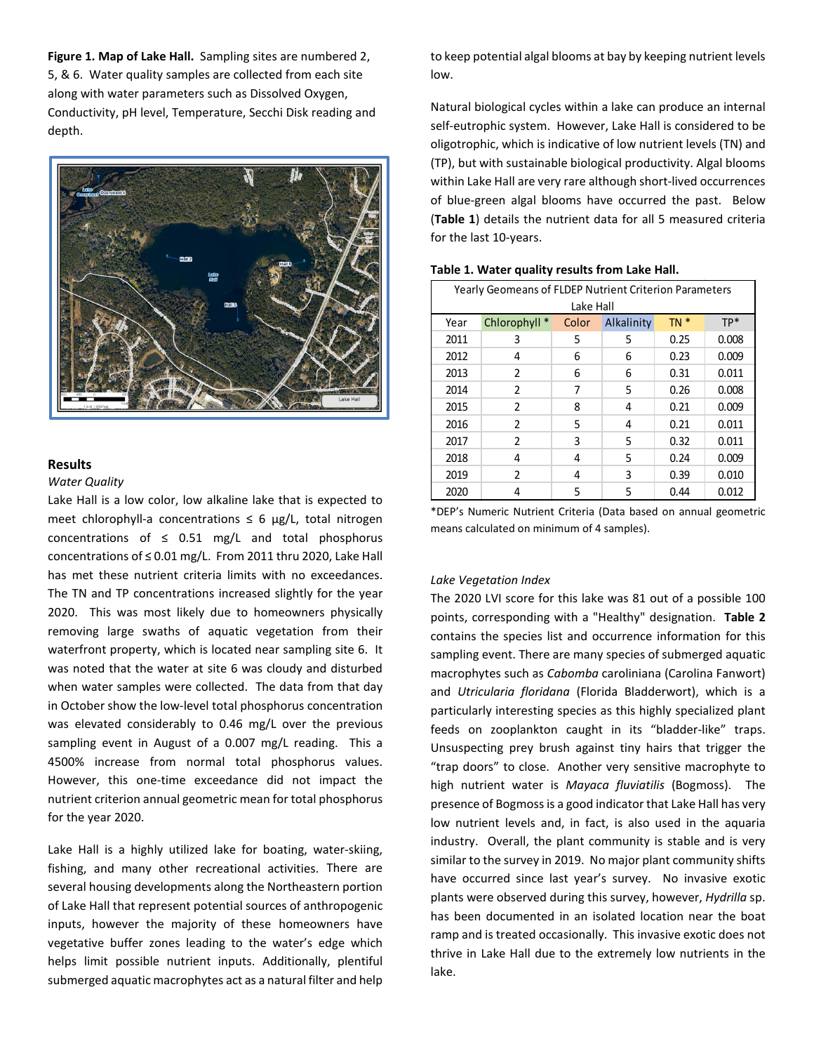**Figure 1. Map of Lake Hall.** Sampling sites are numbered 2, 5, & 6.Water quality samples are collected from each site along with water parameters such as Dissolved Oxygen, Conductivity, pH level, Temperature, Secchi Disk reading and depth.



## **Results**

#### *Water Quality*

Lake Hall is a low color, low alkaline lake that is expected to meet chlorophyll-a concentrations  $\leq 6$  µg/L, total nitrogen concentrations of  $\leq$  0.51 mg/L and total phosphorus concentrations of ≤ 0.01 mg/L. From 2011 thru 2020, Lake Hall has met these nutrient criteria limits with no exceedances. The TN and TP concentrations increased slightly for the year 2020. This was most likely due to homeowners physically removing large swaths of aquatic vegetation from their waterfront property, which is located near sampling site 6. It was noted that the water at site 6 was cloudy and disturbed when water samples were collected. The data from that day in October show the low-level total phosphorus concentration was elevated considerably to 0.46 mg/L over the previous sampling event in August of a 0.007 mg/L reading. This a 4500% increase from normal total phosphorus values. However, this one-time exceedance did not impact the nutrient criterion annual geometric mean for total phosphorus for the year 2020.

Lake Hall is a highly utilized lake for boating, water-skiing, fishing, and many other recreational activities. There are several housing developments along the Northeastern portion of Lake Hall that represent potential sources of anthropogenic inputs, however the majority of these homeowners have vegetative buffer zones leading to the water's edge which helps limit possible nutrient inputs. Additionally, plentiful submerged aquatic macrophytes act as a natural filter and help to keep potential algal blooms at bay by keeping nutrient levels low.

Natural biological cycles within a lake can produce an internal self-eutrophic system. However, Lake Hall is considered to be oligotrophic, which is indicative of low nutrient levels (TN) and (TP), but with sustainable biological productivity. Algal blooms within Lake Hall are very rare although short-lived occurrences of blue-green algal blooms have occurred the past. Below (**Table 1**) details the nutrient data for all 5 measured criteria for the last 10-years.

| Yearly Geomeans of FLDEP Nutrient Criterion Parameters<br>Lake Hall |                |       |            |        |       |  |  |  |  |
|---------------------------------------------------------------------|----------------|-------|------------|--------|-------|--|--|--|--|
| Year                                                                | Chlorophyll *  | Color | Alkalinity | $TN *$ | $TP*$ |  |  |  |  |
| 2011                                                                | 3              | 5     | 5          | 0.25   | 0.008 |  |  |  |  |
| 2012                                                                | 4              | 6     | 6          | 0.23   | 0.009 |  |  |  |  |
| 2013                                                                | $\mathfrak z$  | 6     | 6          | 0.31   | 0.011 |  |  |  |  |
| 2014                                                                | $\mathfrak z$  | 7     | 5          | 0.26   | 0.008 |  |  |  |  |
| 2015                                                                | $\mathfrak{p}$ | 8     | 4          | 0.21   | 0.009 |  |  |  |  |
| 2016                                                                | $\mathfrak z$  | 5     | 4          | 0.21   | 0.011 |  |  |  |  |
| 2017                                                                | $\mathfrak z$  | 3     | 5          | 0.32   | 0.011 |  |  |  |  |
| 2018                                                                | 4              | 4     | 5          | 0.24   | 0.009 |  |  |  |  |
| 2019                                                                | C.             | 4     | 3          | 0.39   | 0.010 |  |  |  |  |
| 2020                                                                | 4              | 5     | 5          | 0.44   | 0.012 |  |  |  |  |

#### **Table 1. Water quality results from Lake Hall.**

\*DEP's Numeric Nutrient Criteria (Data based on annual geometric means calculated on minimum of 4 samples).

#### *Lake Vegetation Index*

The 2020 LVI score for this lake was 81 out of a possible 100 points, corresponding with a "Healthy" designation. **Table 2** contains the species list and occurrence information for this sampling event. There are many species of submerged aquatic macrophytes such as *Cabomba* caroliniana (Carolina Fanwort) and *Utricularia floridana* (Florida Bladderwort), which is a particularly interesting species as this highly specialized plant feeds on zooplankton caught in its "bladder-like" traps. Unsuspecting prey brush against tiny hairs that trigger the "trap doors" to close. Another very sensitive macrophyte to high nutrient water is *Mayaca fluviatilis* (Bogmoss). The presence of Bogmoss is a good indicator that Lake Hall has very low nutrient levels and, in fact, is also used in the aquaria industry. Overall, the plant community is stable and is very similar to the survey in 2019. No major plant community shifts have occurred since last year's survey. No invasive exotic plants were observed during this survey, however, *Hydrilla* sp. has been documented in an isolated location near the boat ramp and is treated occasionally. This invasive exotic does not thrive in Lake Hall due to the extremely low nutrients in the lake.